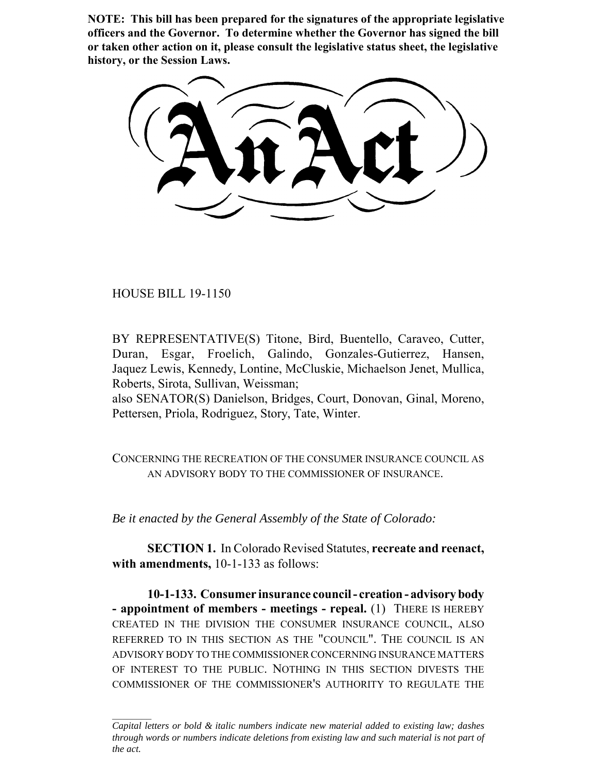**NOTE: This bill has been prepared for the signatures of the appropriate legislative officers and the Governor. To determine whether the Governor has signed the bill or taken other action on it, please consult the legislative status sheet, the legislative history, or the Session Laws.**

HOUSE BILL 19-1150

BY REPRESENTATIVE(S) Titone, Bird, Buentello, Caraveo, Cutter, Duran, Esgar, Froelich, Galindo, Gonzales-Gutierrez, Hansen, Jaquez Lewis, Kennedy, Lontine, McCluskie, Michaelson Jenet, Mullica, Roberts, Sirota, Sullivan, Weissman;

also SENATOR(S) Danielson, Bridges, Court, Donovan, Ginal, Moreno, Pettersen, Priola, Rodriguez, Story, Tate, Winter.

CONCERNING THE RECREATION OF THE CONSUMER INSURANCE COUNCIL AS AN ADVISORY BODY TO THE COMMISSIONER OF INSURANCE.

*Be it enacted by the General Assembly of the State of Colorado:*

**SECTION 1.** In Colorado Revised Statutes, **recreate and reenact,** with amendments, 10-1-133 as follows:

**10-1-133. Consumer insurance council - creation - advisory body - appointment of members - meetings - repeal.** (1) THERE IS HEREBY CREATED IN THE DIVISION THE CONSUMER INSURANCE COUNCIL, ALSO REFERRED TO IN THIS SECTION AS THE "COUNCIL". THE COUNCIL IS AN ADVISORY BODY TO THE COMMISSIONER CONCERNING INSURANCE MATTERS OF INTEREST TO THE PUBLIC. NOTHING IN THIS SECTION DIVESTS THE COMMISSIONER OF THE COMMISSIONER'S AUTHORITY TO REGULATE THE

*Capital letters or bold & italic numbers indicate new material added to existing law; dashes through words or numbers indicate deletions from existing law and such material is not part of the act.*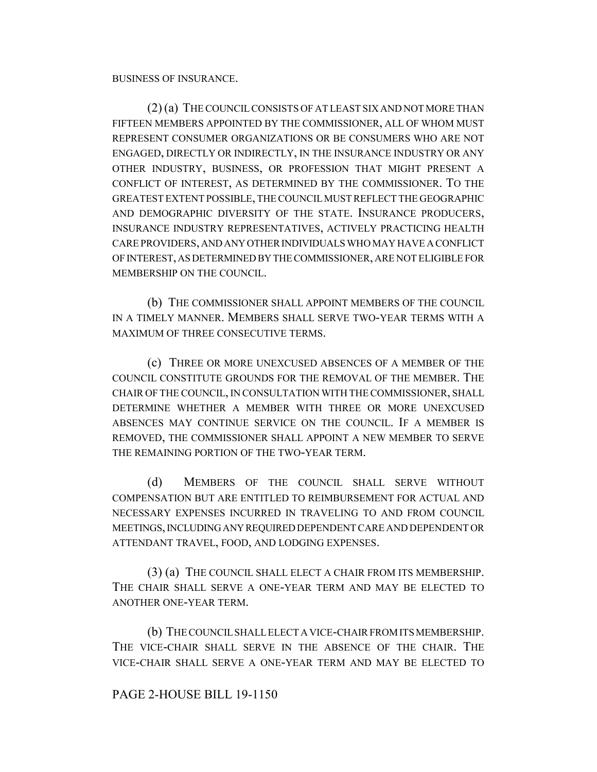BUSINESS OF INSURANCE.

(2) (a) THE COUNCIL CONSISTS OF AT LEAST SIX AND NOT MORE THAN FIFTEEN MEMBERS APPOINTED BY THE COMMISSIONER, ALL OF WHOM MUST REPRESENT CONSUMER ORGANIZATIONS OR BE CONSUMERS WHO ARE NOT ENGAGED, DIRECTLY OR INDIRECTLY, IN THE INSURANCE INDUSTRY OR ANY OTHER INDUSTRY, BUSINESS, OR PROFESSION THAT MIGHT PRESENT A CONFLICT OF INTEREST, AS DETERMINED BY THE COMMISSIONER. TO THE GREATEST EXTENT POSSIBLE, THE COUNCIL MUST REFLECT THE GEOGRAPHIC AND DEMOGRAPHIC DIVERSITY OF THE STATE. INSURANCE PRODUCERS, INSURANCE INDUSTRY REPRESENTATIVES, ACTIVELY PRACTICING HEALTH CARE PROVIDERS, AND ANY OTHER INDIVIDUALS WHO MAY HAVE A CONFLICT OF INTEREST, AS DETERMINED BY THE COMMISSIONER, ARE NOT ELIGIBLE FOR MEMBERSHIP ON THE COUNCIL.

(b) THE COMMISSIONER SHALL APPOINT MEMBERS OF THE COUNCIL IN A TIMELY MANNER. MEMBERS SHALL SERVE TWO-YEAR TERMS WITH A MAXIMUM OF THREE CONSECUTIVE TERMS.

(c) THREE OR MORE UNEXCUSED ABSENCES OF A MEMBER OF THE COUNCIL CONSTITUTE GROUNDS FOR THE REMOVAL OF THE MEMBER. THE CHAIR OF THE COUNCIL, IN CONSULTATION WITH THE COMMISSIONER, SHALL DETERMINE WHETHER A MEMBER WITH THREE OR MORE UNEXCUSED ABSENCES MAY CONTINUE SERVICE ON THE COUNCIL. IF A MEMBER IS REMOVED, THE COMMISSIONER SHALL APPOINT A NEW MEMBER TO SERVE THE REMAINING PORTION OF THE TWO-YEAR TERM.

(d) MEMBERS OF THE COUNCIL SHALL SERVE WITHOUT COMPENSATION BUT ARE ENTITLED TO REIMBURSEMENT FOR ACTUAL AND NECESSARY EXPENSES INCURRED IN TRAVELING TO AND FROM COUNCIL MEETINGS, INCLUDING ANY REQUIRED DEPENDENT CARE AND DEPENDENT OR ATTENDANT TRAVEL, FOOD, AND LODGING EXPENSES.

(3) (a) THE COUNCIL SHALL ELECT A CHAIR FROM ITS MEMBERSHIP. THE CHAIR SHALL SERVE A ONE-YEAR TERM AND MAY BE ELECTED TO ANOTHER ONE-YEAR TERM.

(b) THE COUNCIL SHALL ELECT A VICE-CHAIR FROM ITS MEMBERSHIP. THE VICE-CHAIR SHALL SERVE IN THE ABSENCE OF THE CHAIR. THE VICE-CHAIR SHALL SERVE A ONE-YEAR TERM AND MAY BE ELECTED TO

## PAGE 2-HOUSE BILL 19-1150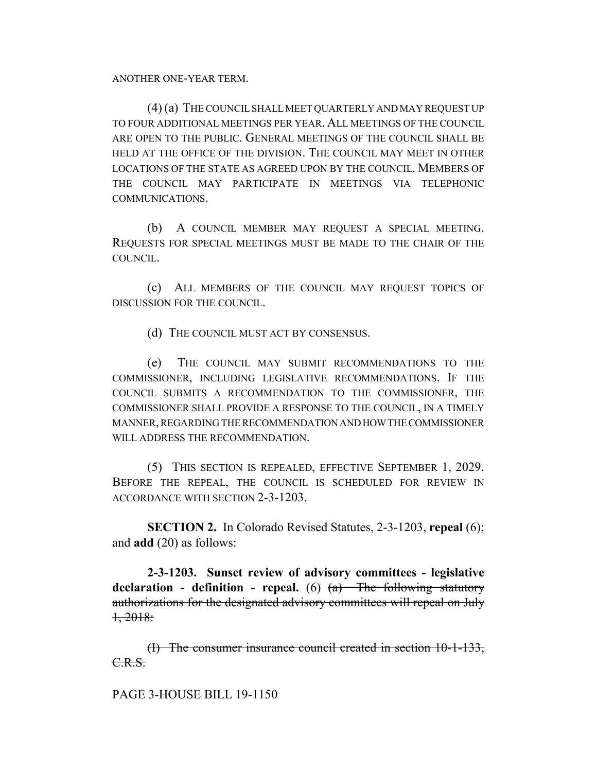ANOTHER ONE-YEAR TERM.

(4) (a) THE COUNCIL SHALL MEET QUARTERLY AND MAY REQUEST UP TO FOUR ADDITIONAL MEETINGS PER YEAR. ALL MEETINGS OF THE COUNCIL ARE OPEN TO THE PUBLIC. GENERAL MEETINGS OF THE COUNCIL SHALL BE HELD AT THE OFFICE OF THE DIVISION. THE COUNCIL MAY MEET IN OTHER LOCATIONS OF THE STATE AS AGREED UPON BY THE COUNCIL. MEMBERS OF THE COUNCIL MAY PARTICIPATE IN MEETINGS VIA TELEPHONIC COMMUNICATIONS.

(b) A COUNCIL MEMBER MAY REQUEST A SPECIAL MEETING. REQUESTS FOR SPECIAL MEETINGS MUST BE MADE TO THE CHAIR OF THE COUNCIL.

(c) ALL MEMBERS OF THE COUNCIL MAY REQUEST TOPICS OF DISCUSSION FOR THE COUNCIL.

(d) THE COUNCIL MUST ACT BY CONSENSUS.

(e) THE COUNCIL MAY SUBMIT RECOMMENDATIONS TO THE COMMISSIONER, INCLUDING LEGISLATIVE RECOMMENDATIONS. IF THE COUNCIL SUBMITS A RECOMMENDATION TO THE COMMISSIONER, THE COMMISSIONER SHALL PROVIDE A RESPONSE TO THE COUNCIL, IN A TIMELY MANNER, REGARDING THE RECOMMENDATION AND HOW THE COMMISSIONER WILL ADDRESS THE RECOMMENDATION.

(5) THIS SECTION IS REPEALED, EFFECTIVE SEPTEMBER 1, 2029. BEFORE THE REPEAL, THE COUNCIL IS SCHEDULED FOR REVIEW IN ACCORDANCE WITH SECTION 2-3-1203.

**SECTION 2.** In Colorado Revised Statutes, 2-3-1203, **repeal** (6); and **add** (20) as follows:

**2-3-1203. Sunset review of advisory committees - legislative declaration - definition - repeal.** (6) (a) The following statutory authorizations for the designated advisory committees will repeal on July 1, 2018:

(I) The consumer insurance council created in section 10-1-133, C.R.S.

## PAGE 3-HOUSE BILL 19-1150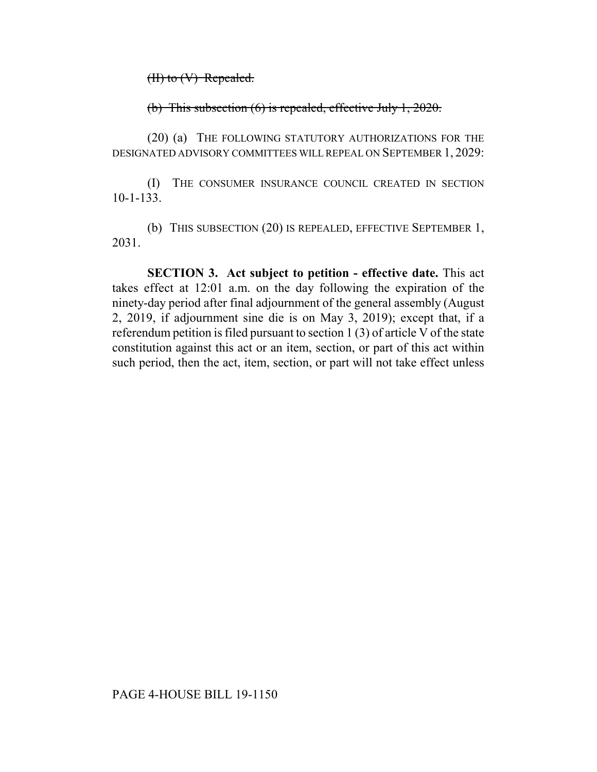$(H)$  to  $(V)$  Repealed.

(b) This subsection (6) is repealed, effective July 1, 2020.

(20) (a) THE FOLLOWING STATUTORY AUTHORIZATIONS FOR THE DESIGNATED ADVISORY COMMITTEES WILL REPEAL ON SEPTEMBER 1, 2029:

(I) THE CONSUMER INSURANCE COUNCIL CREATED IN SECTION 10-1-133.

(b) THIS SUBSECTION (20) IS REPEALED, EFFECTIVE SEPTEMBER 1, 2031.

**SECTION 3. Act subject to petition - effective date.** This act takes effect at 12:01 a.m. on the day following the expiration of the ninety-day period after final adjournment of the general assembly (August 2, 2019, if adjournment sine die is on May 3, 2019); except that, if a referendum petition is filed pursuant to section 1 (3) of article V of the state constitution against this act or an item, section, or part of this act within such period, then the act, item, section, or part will not take effect unless